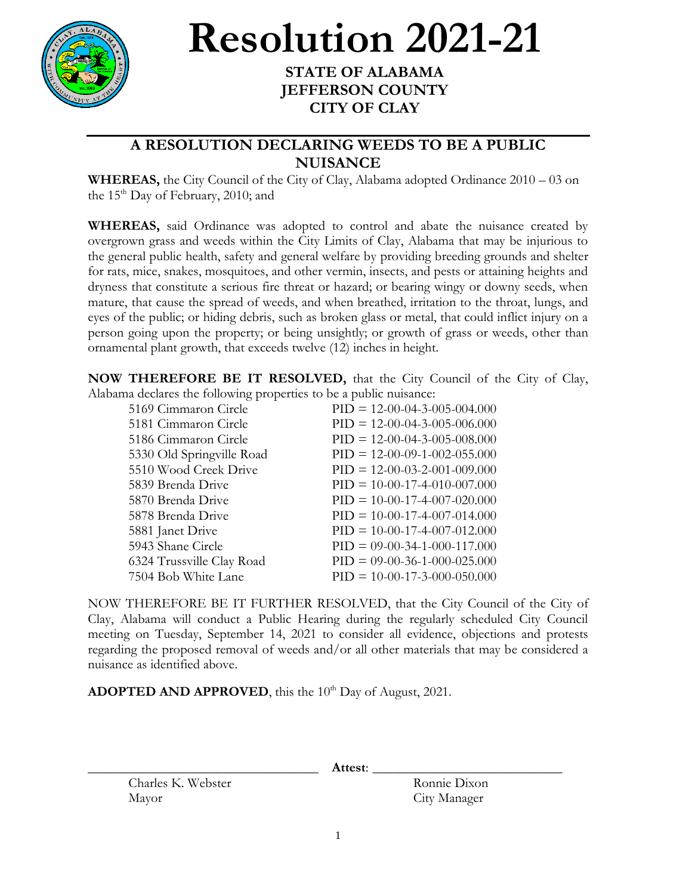

## **Resolution 2021-21**

## **STATE OF ALABAMA JEFFERSON COUNTY CITY OF CLAY**

## **A RESOLUTION DECLARING WEEDS TO BE A PUBLIC NUISANCE**

**WHEREAS,** the City Council of the City of Clay, Alabama adopted Ordinance 2010 – 03 on the  $15<sup>th</sup>$  Day of February, 2010; and

**WHEREAS,** said Ordinance was adopted to control and abate the nuisance created by overgrown grass and weeds within the City Limits of Clay, Alabama that may be injurious to the general public health, safety and general welfare by providing breeding grounds and shelter for rats, mice, snakes, mosquitoes, and other vermin, insects, and pests or attaining heights and dryness that constitute a serious fire threat or hazard; or bearing wingy or downy seeds, when mature, that cause the spread of weeds, and when breathed, irritation to the throat, lungs, and eyes of the public; or hiding debris, such as broken glass or metal, that could inflict injury on a person going upon the property; or being unsightly; or growth of grass or weeds, other than ornamental plant growth, that exceeds twelve (12) inches in height.

**NOW THEREFORE BE IT RESOLVED,** that the City Council of the City of Clay, Alabama declares the following properties to be a public nuisance:

| 5169 Cimmaron Circle      | $PID = 12-00-04-3-005-004.000$ |
|---------------------------|--------------------------------|
| 5181 Cimmaron Circle      | $PID = 12-00-04-3-005-006.000$ |
| 5186 Cimmaron Circle      | $PID = 12-00-04-3-005-008.000$ |
| 5330 Old Springville Road | $PID = 12-00-09-1-002-055.000$ |
| 5510 Wood Creek Drive     | $PID = 12-00-03-2-001-009.000$ |
| 5839 Brenda Drive         | $PID = 10-00-17-4-010-007.000$ |
| 5870 Brenda Drive         | $PID = 10-00-17-4-007-020.000$ |
| 5878 Brenda Drive         | $PID = 10-00-17-4-007-014.000$ |
| 5881 Janet Drive          | $PID = 10-00-17-4-007-012.000$ |
| 5943 Shane Circle         | $PID = 09-00-34-1-000-117.000$ |
| 6324 Trussville Clay Road | $PID = 09-00-36-1-000-025.000$ |
| 7504 Bob White Lane       | $PID = 10-00-17-3-000-050.000$ |

NOW THEREFORE BE IT FURTHER RESOLVED, that the City Council of the City of Clay, Alabama will conduct a Public Hearing during the regularly scheduled City Council meeting on Tuesday, September 14, 2021 to consider all evidence, objections and protests regarding the proposed removal of weeds and/or all other materials that may be considered a nuisance as identified above.

ADOPTED AND APPROVED, this the 10<sup>th</sup> Day of August, 2021.

\_\_\_\_\_\_\_\_\_\_\_\_\_\_\_\_\_\_\_\_\_\_\_\_\_\_\_\_\_\_\_\_\_\_ **Attest**: \_\_\_\_\_\_\_\_\_\_\_\_\_\_\_\_\_\_\_\_\_\_\_\_\_\_\_\_

Charles K. Webster Ronnie Dixon Mayor City Manager